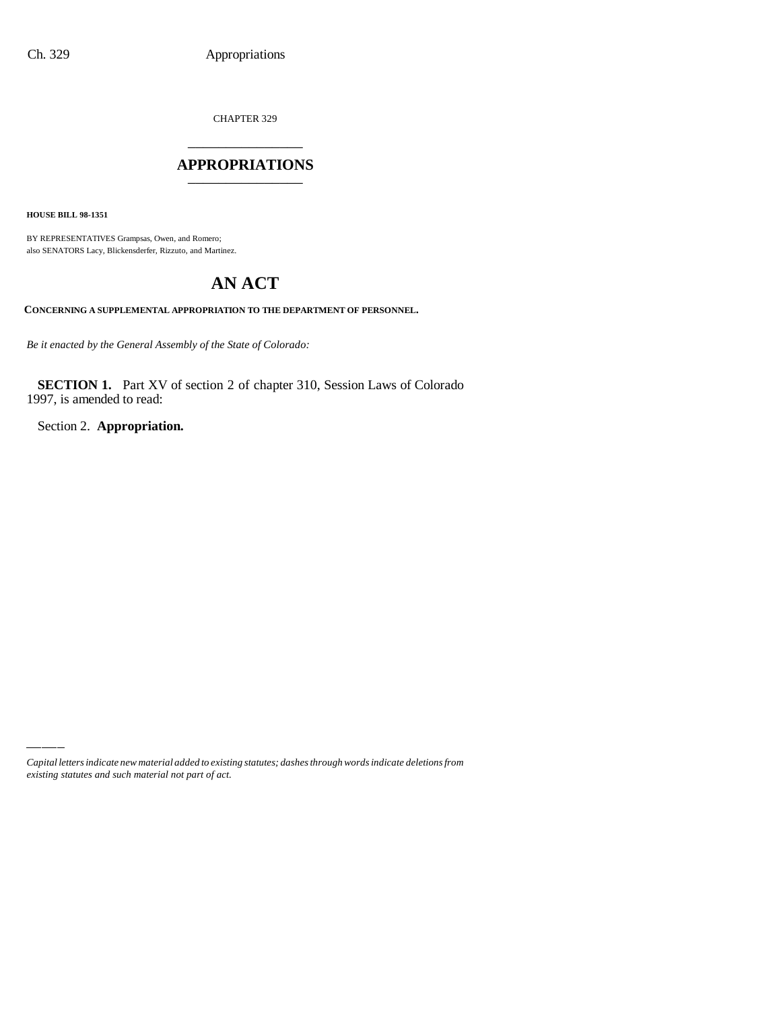CHAPTER 329 \_\_\_\_\_\_\_\_\_\_\_\_\_\_\_

## **APPROPRIATIONS** \_\_\_\_\_\_\_\_\_\_\_\_\_\_\_

**HOUSE BILL 98-1351**

BY REPRESENTATIVES Grampsas, Owen, and Romero; also SENATORS Lacy, Blickensderfer, Rizzuto, and Martinez.

# **AN ACT**

**CONCERNING A SUPPLEMENTAL APPROPRIATION TO THE DEPARTMENT OF PERSONNEL.**

*Be it enacted by the General Assembly of the State of Colorado:*

**SECTION 1.** Part XV of section 2 of chapter 310, Session Laws of Colorado 1997, is amended to read:

Section 2. **Appropriation.**

*Capital letters indicate new material added to existing statutes; dashes through words indicate deletions from existing statutes and such material not part of act.*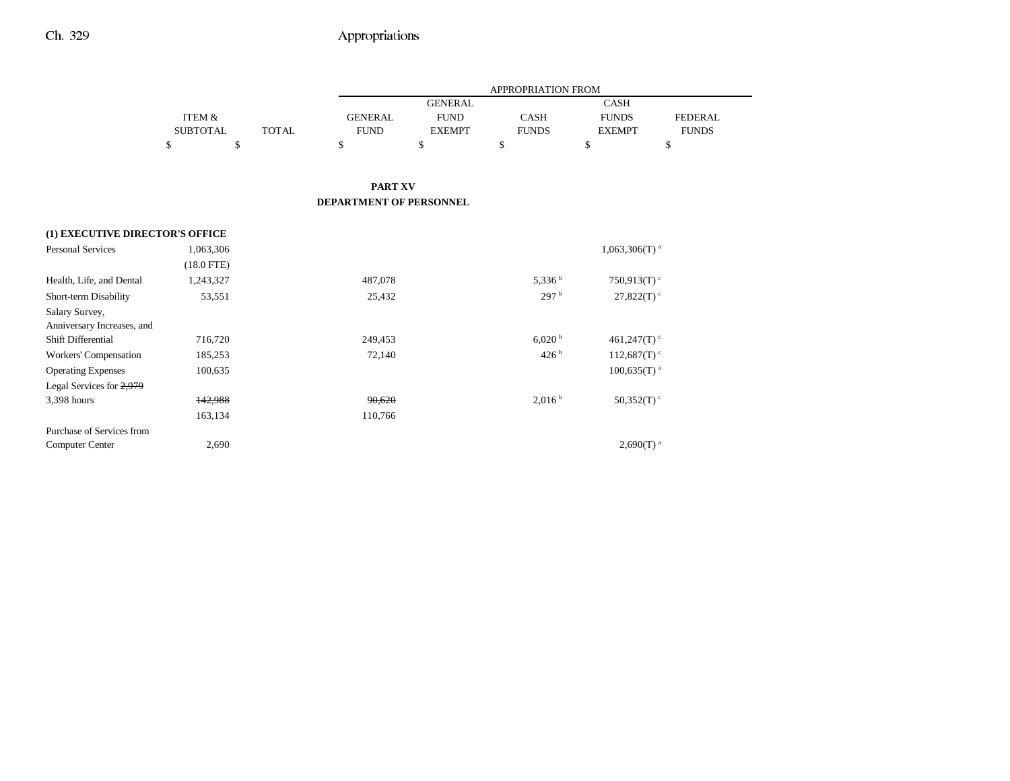|                                       |                   |              |                                |                | <b>APPROPRIATION FROM</b> |                            |                |
|---------------------------------------|-------------------|--------------|--------------------------------|----------------|---------------------------|----------------------------|----------------|
|                                       |                   |              |                                | <b>GENERAL</b> |                           | <b>CASH</b>                |                |
|                                       | <b>ITEM &amp;</b> |              | <b>GENERAL</b>                 | <b>FUND</b>    | <b>CASH</b>               | <b>FUNDS</b>               | <b>FEDERAL</b> |
|                                       | <b>SUBTOTAL</b>   | <b>TOTAL</b> | <b>FUND</b>                    | <b>EXEMPT</b>  | <b>FUNDS</b>              | <b>EXEMPT</b>              | <b>FUNDS</b>   |
|                                       | \$                | $\mathbb{S}$ | \$                             | \$             | \$                        | \$                         | \$             |
|                                       |                   |              |                                |                |                           |                            |                |
|                                       |                   |              | <b>PART XV</b>                 |                |                           |                            |                |
|                                       |                   |              | <b>DEPARTMENT OF PERSONNEL</b> |                |                           |                            |                |
| (1) EXECUTIVE DIRECTOR'S OFFICE       |                   |              |                                |                |                           |                            |                |
| <b>Personal Services</b><br>1,063,306 |                   |              | $1,063,306(T)$ <sup>a</sup>    |                |                           |                            |                |
|                                       | $(18.0$ FTE)      |              |                                |                |                           |                            |                |
| Health, Life, and Dental              | 1,243,327         |              | 487,078                        |                | 5,336 <sup>b</sup>        | 750,913(T) $\degree$       |                |
| Short-term Disability                 | 53,551            |              | 25,432                         |                | 297 <sup>b</sup>          | 27,822(T)                  |                |
| Salary Survey,                        |                   |              |                                |                |                           |                            |                |
| Anniversary Increases, and            |                   |              |                                |                |                           |                            |                |
| Shift Differential                    | 716,720           |              | 249,453                        |                | 6,020 h                   | 461,247 $(T)$ <sup>c</sup> |                |
| Workers' Compensation                 | 185,253           |              | 72,140                         |                | 426 <sup>b</sup>          | $112,687(T)$ <sup>c</sup>  |                |
| <b>Operating Expenses</b>             | 100,635           |              |                                |                |                           | $100,635(T)$ <sup>a</sup>  |                |
| Legal Services for 2,979              |                   |              |                                |                |                           |                            |                |
| 3,398 hours                           | 142,988           |              | 90,620                         |                | 2,016 <sup>b</sup>        | 50,352(T) $\degree$        |                |
|                                       | 163,134           |              | 110,766                        |                |                           |                            |                |
| Purchase of Services from             |                   |              |                                |                |                           |                            |                |
| <b>Computer Center</b>                | 2,690             |              |                                |                |                           | $2,690(T)$ <sup>a</sup>    |                |
|                                       |                   |              |                                |                |                           |                            |                |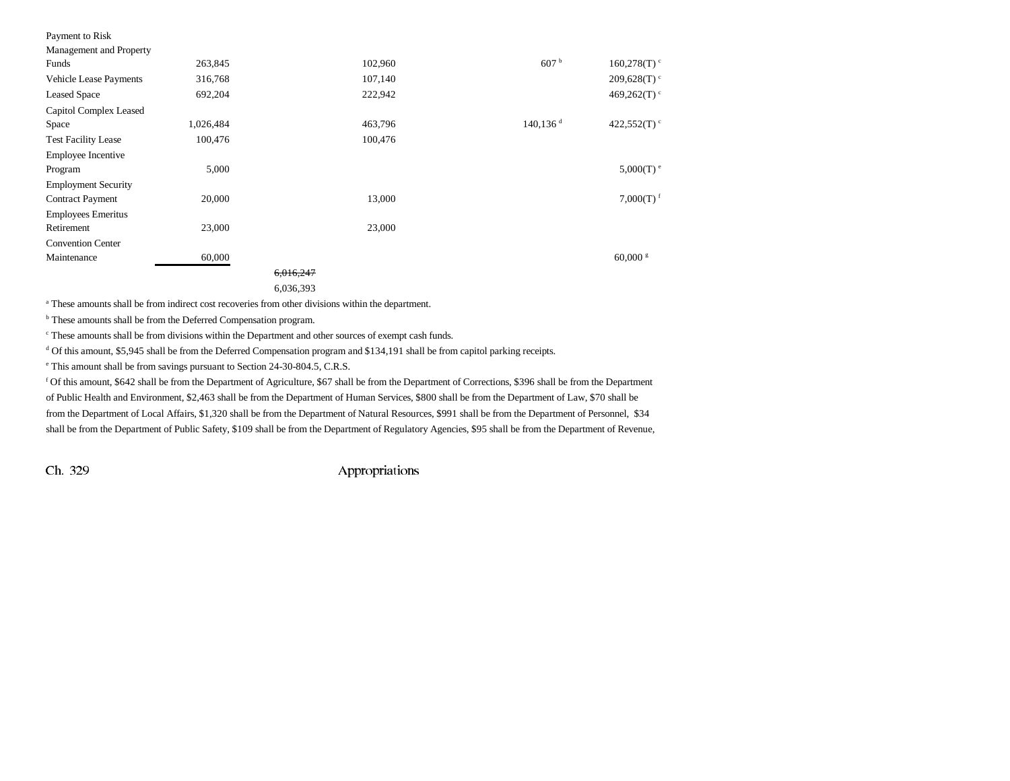| Payment to Risk               |           |           |         |                         |                         |
|-------------------------------|-----------|-----------|---------|-------------------------|-------------------------|
| Management and Property       |           |           |         |                         |                         |
| Funds                         | 263,845   |           | 102,960 | 607 <sup>b</sup>        | 160,278(T)              |
| <b>Vehicle Lease Payments</b> | 316,768   |           | 107,140 |                         | 209,628(T)              |
| <b>Leased Space</b>           | 692,204   |           | 222,942 |                         | 469,262(T) $\rm ^{c}$   |
| Capitol Complex Leased        |           |           |         |                         |                         |
| Space                         | 1,026,484 |           | 463,796 | $140, 136$ <sup>d</sup> | 422,552(T) $\degree$    |
| <b>Test Facility Lease</b>    | 100,476   |           | 100,476 |                         |                         |
| <b>Employee Incentive</b>     |           |           |         |                         |                         |
| Program                       | 5,000     |           |         |                         | $5,000(T)$ <sup>e</sup> |
| <b>Employment Security</b>    |           |           |         |                         |                         |
| <b>Contract Payment</b>       | 20,000    |           | 13,000  |                         | $7,000(T)$ <sup>f</sup> |
| <b>Employees Emeritus</b>     |           |           |         |                         |                         |
| Retirement                    | 23,000    |           | 23,000  |                         |                         |
| <b>Convention Center</b>      |           |           |         |                         |                         |
| Maintenance                   | 60,000    |           |         |                         | $60,000$ s              |
|                               |           | 6,016,247 |         |                         |                         |
|                               |           | 6,036,393 |         |                         |                         |

a These amounts shall be from indirect cost recoveries from other divisions within the department.

b These amounts shall be from the Deferred Compensation program.

c These amounts shall be from divisions within the Department and other sources of exempt cash funds.

<sup>d</sup> Of this amount, \$5,945 shall be from the Deferred Compensation program and \$134,191 shall be from capitol parking receipts.

e This amount shall be from savings pursuant to Section 24-30-804.5, C.R.S.

f Of this amount, \$642 shall be from the Department of Agriculture, \$67 shall be from the Department of Corrections, \$396 shall be from the Department of Public Health and Environment, \$2,463 shall be from the Department of Human Services, \$800 shall be from the Department of Law, \$70 shall be from the Department of Local Affairs, \$1,320 shall be from the Department of Natural Resources, \$991 shall be from the Department of Personnel, \$34 shall be from the Department of Public Safety, \$109 shall be from the Department of Regulatory Agencies, \$95 shall be from the Department of Revenue,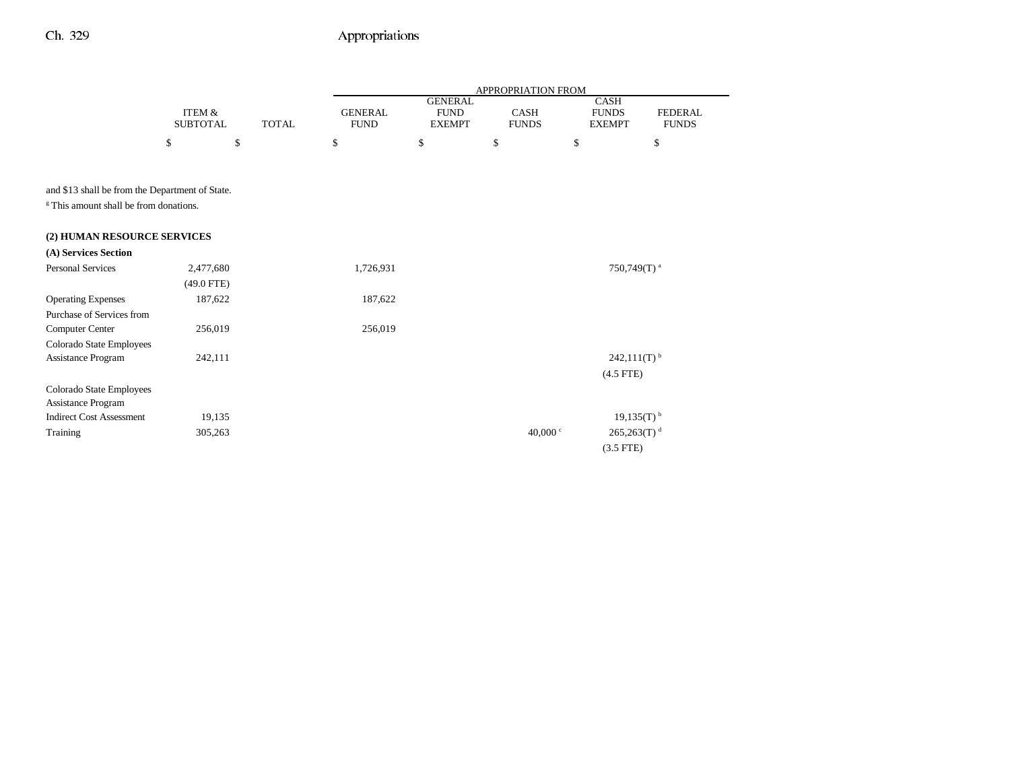|                                                       |                           |              |                               |                                                | APPROPRIATION FROM          |                                                       |                                |
|-------------------------------------------------------|---------------------------|--------------|-------------------------------|------------------------------------------------|-----------------------------|-------------------------------------------------------|--------------------------------|
|                                                       | ITEM &<br><b>SUBTOTAL</b> | <b>TOTAL</b> | <b>GENERAL</b><br><b>FUND</b> | <b>GENERAL</b><br><b>FUND</b><br><b>EXEMPT</b> | <b>CASH</b><br><b>FUNDS</b> | <b>CASH</b><br><b>FUNDS</b><br><b>EXEMPT</b>          | <b>FEDERAL</b><br><b>FUNDS</b> |
|                                                       | \$                        | \$           | \$                            | \$                                             | \$                          | \$                                                    | \$                             |
|                                                       |                           |              |                               |                                                |                             |                                                       |                                |
| and \$13 shall be from the Department of State.       |                           |              |                               |                                                |                             |                                                       |                                |
| <sup>8</sup> This amount shall be from donations.     |                           |              |                               |                                                |                             |                                                       |                                |
| (2) HUMAN RESOURCE SERVICES                           |                           |              |                               |                                                |                             |                                                       |                                |
| (A) Services Section                                  |                           |              |                               |                                                |                             |                                                       |                                |
| <b>Personal Services</b>                              | 2,477,680                 |              | 1,726,931                     |                                                |                             | 750,749 $(T)$ <sup>a</sup>                            |                                |
|                                                       | $(49.0$ FTE)              |              |                               |                                                |                             |                                                       |                                |
| <b>Operating Expenses</b>                             | 187,622                   |              | 187,622                       |                                                |                             |                                                       |                                |
| Purchase of Services from                             |                           |              |                               |                                                |                             |                                                       |                                |
| Computer Center                                       | 256,019                   |              | 256,019                       |                                                |                             |                                                       |                                |
| Colorado State Employees                              |                           |              |                               |                                                |                             |                                                       |                                |
| Assistance Program                                    | 242,111                   |              |                               |                                                |                             | $242,111(T)$ <sup>b</sup>                             |                                |
|                                                       |                           |              |                               |                                                |                             | $(4.5$ FTE)                                           |                                |
| Colorado State Employees                              |                           |              |                               |                                                |                             |                                                       |                                |
| Assistance Program<br><b>Indirect Cost Assessment</b> |                           |              |                               |                                                |                             |                                                       |                                |
| Training                                              | 19,135<br>305,263         |              |                               |                                                | 40,000 $\degree$            | $19,135(T)$ <sup>b</sup><br>$265,263(T)$ <sup>d</sup> |                                |
|                                                       |                           |              |                               |                                                |                             | $(3.5$ FTE)                                           |                                |
|                                                       |                           |              |                               |                                                |                             |                                                       |                                |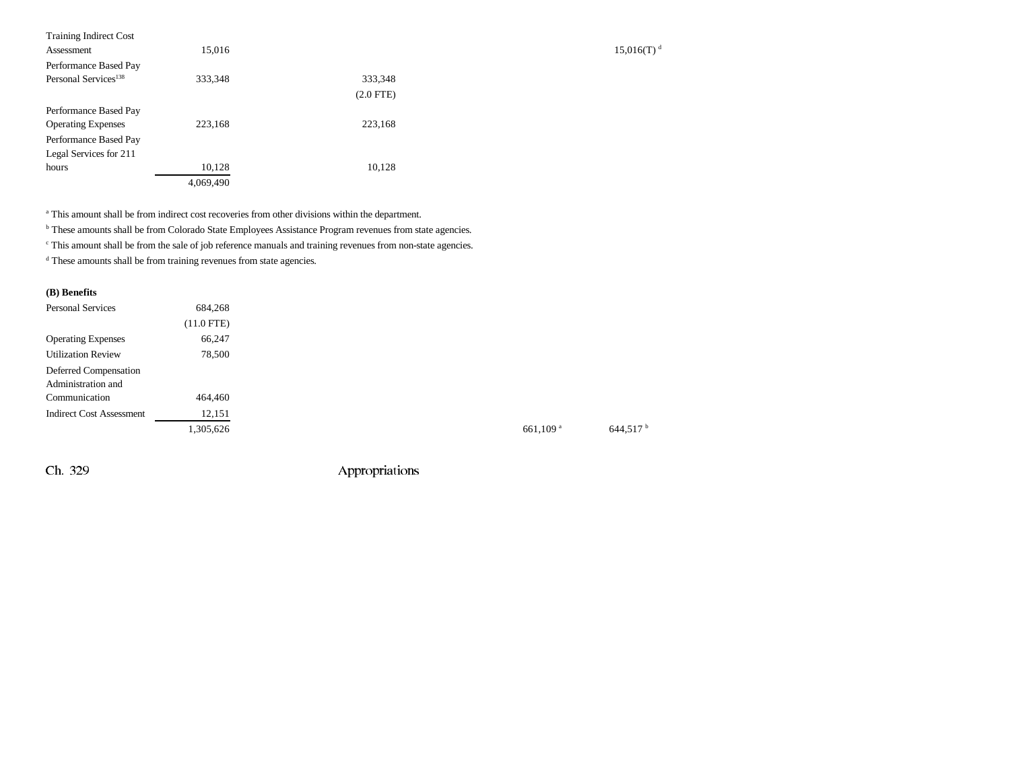| <b>Training Indirect Cost</b><br>Assessment | 15,016    |                |
|---------------------------------------------|-----------|----------------|
| Performance Based Pay                       |           |                |
| Personal Services <sup>138</sup>            | 333,348   | 333,348        |
|                                             |           | $(2.0$ FTE $)$ |
| Performance Based Pay                       |           |                |
| <b>Operating Expenses</b>                   | 223,168   | 223,168        |
| Performance Based Pay                       |           |                |
| Legal Services for 211                      |           |                |
| hours                                       | 10,128    | 10,128         |
|                                             | 4,069,490 |                |

a This amount shall be from indirect cost recoveries from other divisions within the department.

b These amounts shall be from Colorado State Employees Assistance Program revenues from state agencies.

 $\degree$  This amount shall be from the sale of job reference manuals and training revenues from non-state agencies.

 $^{\rm d}$  These amounts shall be from training revenues from state agencies.

### **(B) Benefits**

| <b>Personal Services</b>        | 684.268      |                        |                      |
|---------------------------------|--------------|------------------------|----------------------|
|                                 | $(11.0$ FTE) |                        |                      |
| <b>Operating Expenses</b>       | 66,247       |                        |                      |
| <b>Utilization Review</b>       | 78,500       |                        |                      |
| Deferred Compensation           |              |                        |                      |
| Administration and              |              |                        |                      |
| Communication                   | 464,460      |                        |                      |
| <b>Indirect Cost Assessment</b> | 12,151       |                        |                      |
|                                 | 1,305,626    | $661,109$ <sup>a</sup> | 644.517 <sup>b</sup> |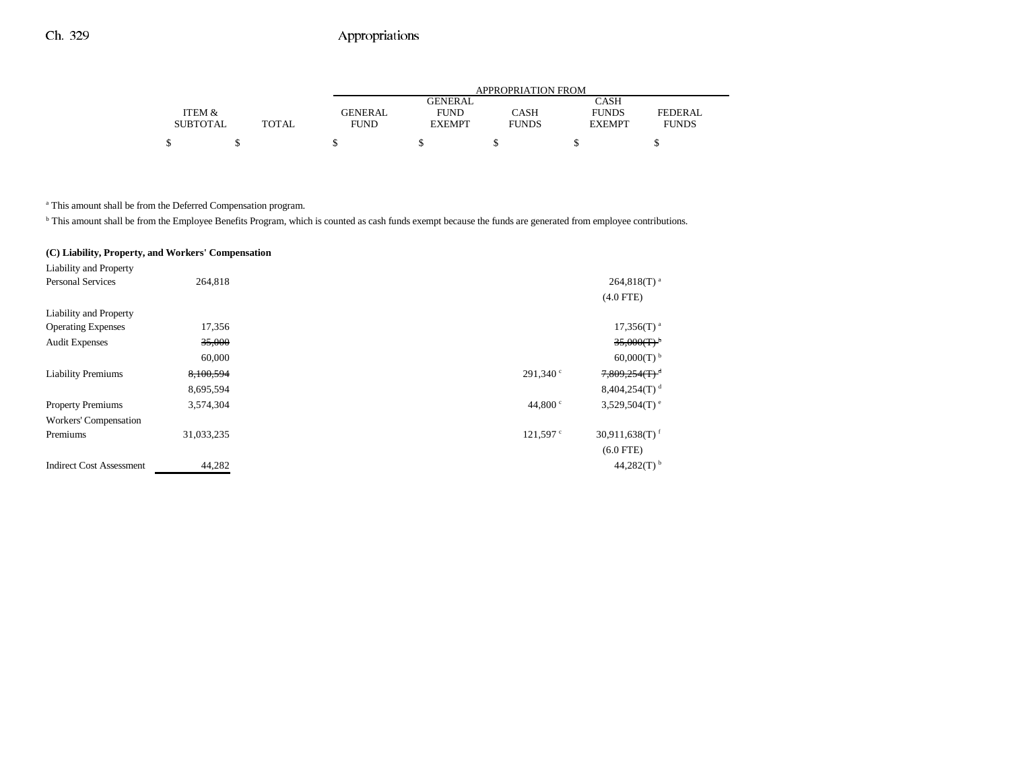|                 |              |             |                | APPROPRIATION FROM |               |                |
|-----------------|--------------|-------------|----------------|--------------------|---------------|----------------|
|                 |              |             | <b>GENERAL</b> |                    | CASH          |                |
| ITEM &          |              | GENERAL     | <b>FUND</b>    | CASH               | <b>FUNDS</b>  | <b>FEDERAL</b> |
| <b>SUBTOTAL</b> | <b>TOTAL</b> | <b>FUND</b> | <b>EXEMPT</b>  | <b>FUNDS</b>       | <b>EXEMPT</b> | <b>FUNDS</b>   |
|                 |              |             |                |                    |               |                |
|                 |              |             |                |                    |               |                |

a This amount shall be from the Deferred Compensation program.

<sup>b</sup> This amount shall be from the Employee Benefits Program, which is counted as cash funds exempt because the funds are generated from employee contributions.

### **(C) Liability, Property, and Workers' Compensation**

| Liability and Property          |            |                  |                              |
|---------------------------------|------------|------------------|------------------------------|
| <b>Personal Services</b>        | 264,818    |                  | $264,818(T)^{a}$             |
|                                 |            |                  | $(4.0$ FTE)                  |
| Liability and Property          |            |                  |                              |
| <b>Operating Expenses</b>       | 17,356     |                  | $17,356(T)^{a}$              |
| <b>Audit Expenses</b>           | 35,000     |                  | $35,000(T)^{b}$              |
|                                 | 60,000     |                  | $60,000(T)$ <sup>b</sup>     |
| <b>Liability Premiums</b>       | 8,100,594  | $291.340$ c      | $7,809,254(T)^d$             |
|                                 | 8,695,594  |                  | $8,404,254(T)$ <sup>d</sup>  |
| <b>Property Premiums</b>        | 3,574,304  | 44,800 $\degree$ | 3,529,504 $(T)$ <sup>e</sup> |
| Workers' Compensation           |            |                  |                              |
| Premiums                        | 31,033,235 | $121,597$ c      | $30,911,638(T)$ <sup>f</sup> |
|                                 |            |                  | $(6.0$ FTE)                  |
| <b>Indirect Cost Assessment</b> | 44,282     |                  | 44,282(T) $^{\rm b}$         |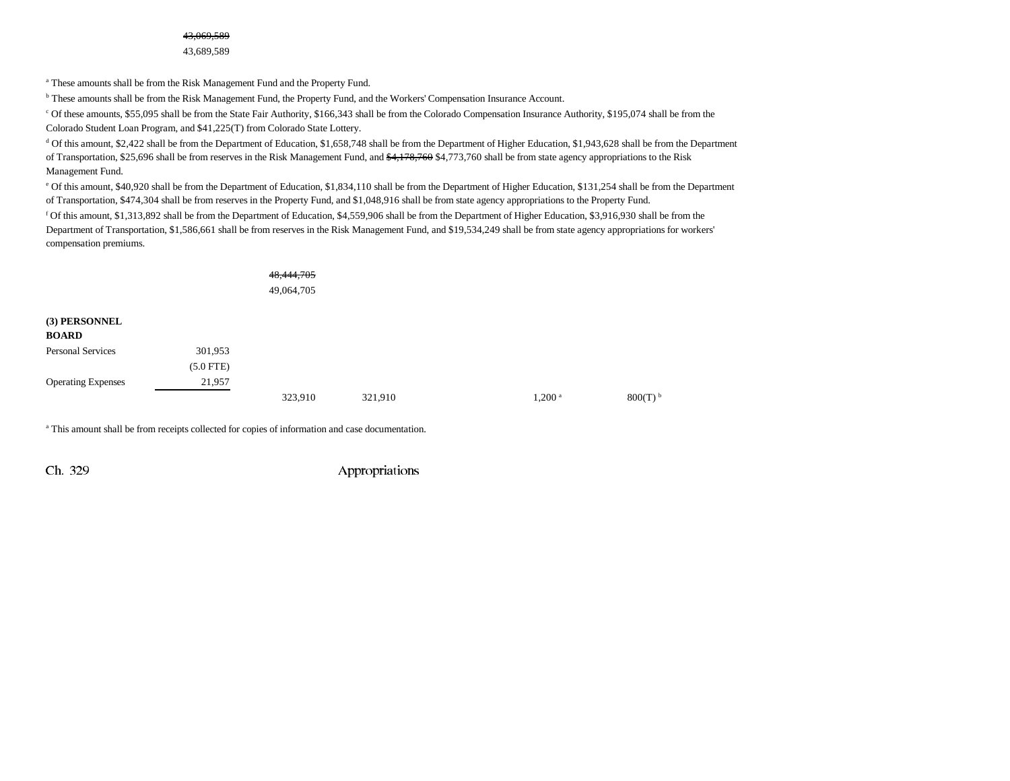a These amounts shall be from the Risk Management Fund and the Property Fund.

<sup>b</sup> These amounts shall be from the Risk Management Fund, the Property Fund, and the Workers' Compensation Insurance Account.

c Of these amounts, \$55,095 shall be from the State Fair Authority, \$166,343 shall be from the Colorado Compensation Insurance Authority, \$195,074 shall be from the Colorado Student Loan Program, and \$41,225(T) from Colorado State Lottery.

d Of this amount, \$2,422 shall be from the Department of Education, \$1,658,748 shall be from the Department of Higher Education, \$1,943,628 shall be from the Department of Transportation, \$25,696 shall be from reserves in the Risk Management Fund, and \$4,178,760 \$4,773,760 shall be from state agency appropriations to the Risk Management Fund.

e Of this amount, \$40,920 shall be from the Department of Education, \$1,834,110 shall be from the Department of Higher Education, \$131,254 shall be from the Department of Transportation, \$474,304 shall be from reserves in the Property Fund, and \$1,048,916 shall be from state agency appropriations to the Property Fund.

f Of this amount, \$1,313,892 shall be from the Department of Education, \$4,559,906 shall be from the Department of Higher Education, \$3,916,930 shall be from the Department of Transportation, \$1,586,661 shall be from reserves in the Risk Management Fund, and \$19,534,249 shall be from state agency appropriations for workers' compensation premiums.

|                               |             | 48,444,705<br>49,064,705 |         |                    |                       |
|-------------------------------|-------------|--------------------------|---------|--------------------|-----------------------|
| (3) PERSONNEL<br><b>BOARD</b> |             |                          |         |                    |                       |
| Personal Services             | 301,953     |                          |         |                    |                       |
|                               | $(5.0$ FTE) |                          |         |                    |                       |
| <b>Operating Expenses</b>     | 21,957      |                          |         |                    |                       |
|                               |             | 323,910                  | 321,910 | 1,200 <sup>a</sup> | $800(T)$ <sup>b</sup> |

a This amount shall be from receipts collected for copies of information and case documentation.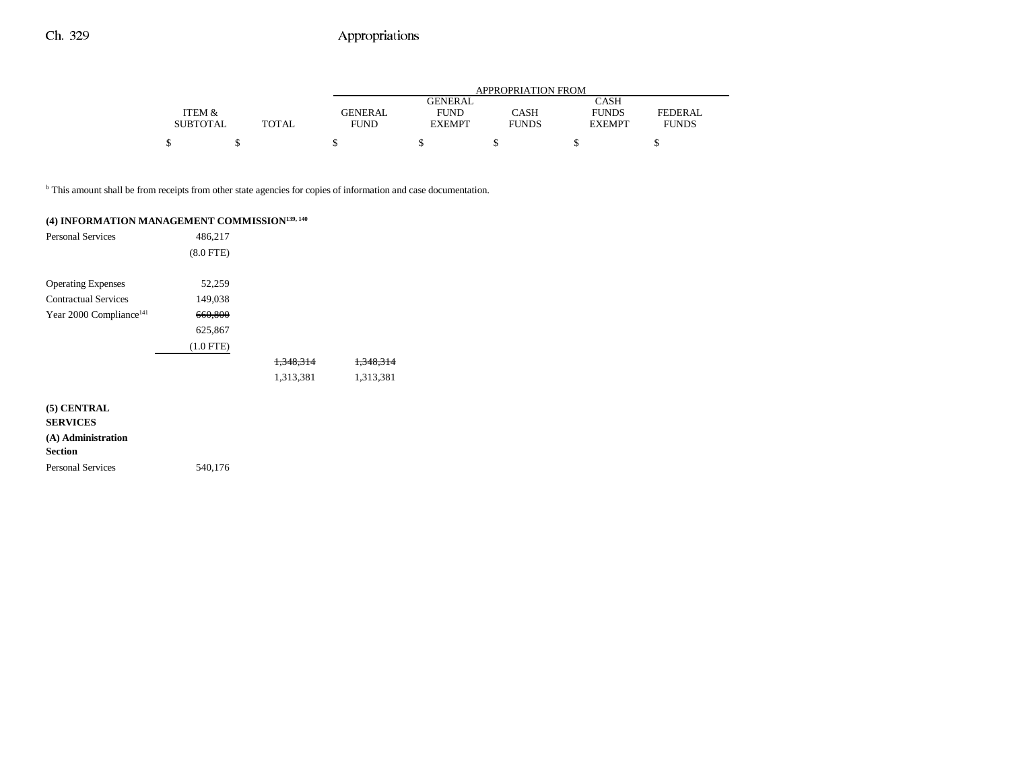|                 |              |             |                | APPROPRIATION FROM |               |                |
|-----------------|--------------|-------------|----------------|--------------------|---------------|----------------|
|                 |              |             | <b>GENERAL</b> |                    | CASH          |                |
| ITEM &          |              | GENERAL     | <b>FUND</b>    | <b>CASH</b>        | <b>FUNDS</b>  | <b>FEDERAL</b> |
| <b>SUBTOTAL</b> | <b>TOTAL</b> | <b>FUND</b> | <b>EXEMPT</b>  | <b>FUNDS</b>       | <b>EXEMPT</b> | <b>FUNDS</b>   |
|                 |              |             |                |                    |               |                |
|                 |              |             |                |                    |               |                |

b This amount shall be from receipts from other state agencies for copies of information and case documentation.

| (4) INFORMATION MANAGEMENT COMMISSION <sup>139, 140</sup>              |                |                      |                      |
|------------------------------------------------------------------------|----------------|----------------------|----------------------|
| <b>Personal Services</b>                                               | 486,217        |                      |                      |
|                                                                        | $(8.0$ FTE $)$ |                      |                      |
| <b>Operating Expenses</b>                                              | 52,259         |                      |                      |
| <b>Contractual Services</b>                                            | 149,038        |                      |                      |
| Year 2000 Compliance <sup>141</sup>                                    | 660,800        |                      |                      |
|                                                                        | 625,867        |                      |                      |
|                                                                        | $(1.0$ FTE)    |                      |                      |
|                                                                        |                | <del>1,348,314</del> | <del>1,348,314</del> |
|                                                                        |                | 1,313,381            | 1,313,381            |
| (5) CENTRAL<br><b>SERVICES</b><br>(A) Administration<br><b>Section</b> |                |                      |                      |
| <b>Personal Services</b>                                               | 540,176        |                      |                      |
|                                                                        |                |                      |                      |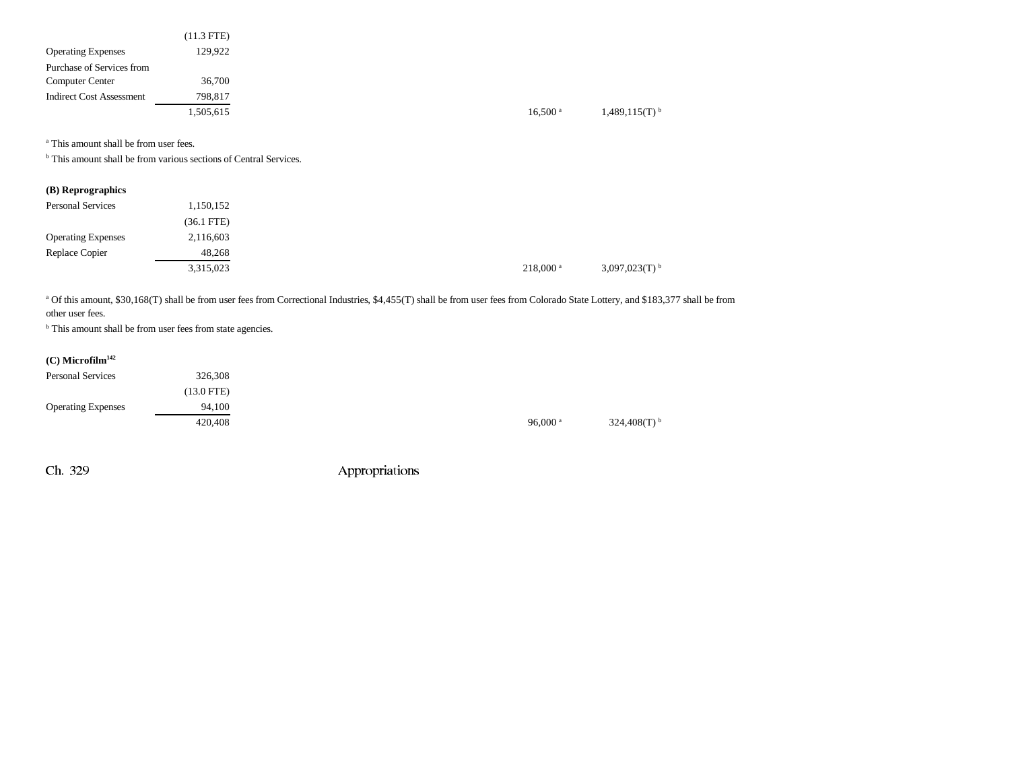|                                 | $(11.3$ FTE) |
|---------------------------------|--------------|
| <b>Operating Expenses</b>       | 129,922      |
| Purchase of Services from       |              |
| Computer Center                 | 36,700       |
| <b>Indirect Cost Assessment</b> | 798,817      |
|                                 | 1,505,615    |

a This amount shall be from user fees.

<sup>b</sup> This amount shall be from various sections of Central Services.

| (B) Reprographics         |              |                       |
|---------------------------|--------------|-----------------------|
| <b>Personal Services</b>  | 1,150,152    |                       |
|                           | $(36.1$ FTE) |                       |
| <b>Operating Expenses</b> | 2,116,603    |                       |
| Replace Copier            | 48,268       |                       |
|                           | 3,315,023    | $218,000^{\text{ a}}$ |

a Of this amount, \$30,168(T) shall be from user fees from Correctional Industries, \$4,455(T) shall be from user fees from Colorado State Lottery, and \$183,377 shall be from other user fees.

<sup>b</sup> This amount shall be from user fees from state agencies.

## **(C) Microfilm142**

| <b>Personal Services</b>  | 326,308              |  |
|---------------------------|----------------------|--|
|                           | $(13.0 \text{ FTE})$ |  |
| <b>Operating Expenses</b> | 94.100               |  |
|                           | 420,408              |  |

96,000 a  $324,408(T)$  b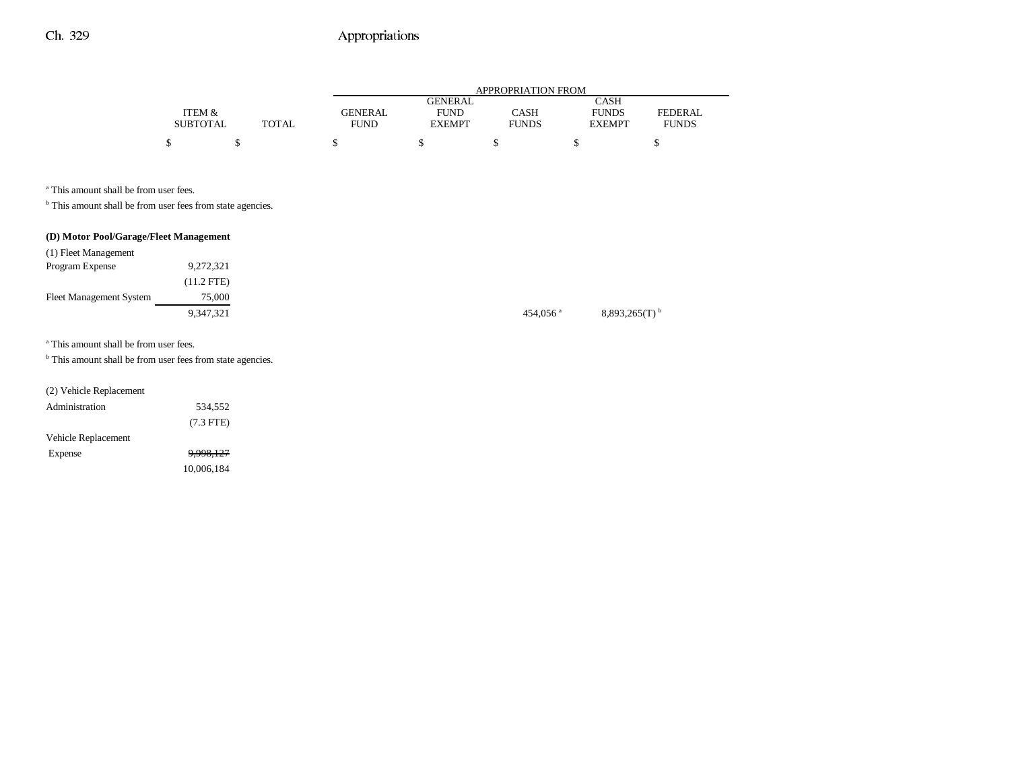|                 |              |                |                | APPROPRIATION FROM |               |                |
|-----------------|--------------|----------------|----------------|--------------------|---------------|----------------|
|                 |              |                | <b>GENERAL</b> |                    | CASH          |                |
| ITEM &          |              | <b>GENERAL</b> | <b>FUND</b>    | CASH               | <b>FUNDS</b>  | <b>FEDERAL</b> |
| <b>SUBTOTAL</b> | <b>TOTAL</b> | <b>FUND</b>    | <b>EXEMPT</b>  | <b>FUNDS</b>       | <b>EXEMPT</b> | <b>FUNDS</b>   |
|                 |              |                |                |                    |               |                |

a This amount shall be from user fees.

 $^{\rm b}$  This amount shall be from user fees from state agencies.

## **(D) Motor Pool/Garage/Fleet Management**

| (1) Fleet Management           |            |  |                        |                             |
|--------------------------------|------------|--|------------------------|-----------------------------|
| Program Expense                | 9,272,321  |  |                        |                             |
|                                | (11.2 FTE) |  |                        |                             |
| <b>Fleet Management System</b> | 75,000     |  |                        |                             |
|                                | 9,347,321  |  | $454,056$ <sup>a</sup> | $8,893,265(T)$ <sup>b</sup> |

a This amount shall be from user fees.

<sup>b</sup> This amount shall be from user fees from state agencies.

## (2) Vehicle Replacement

| Administration      | 534,552     |
|---------------------|-------------|
|                     | $(7.3$ FTE) |
| Vehicle Replacement |             |
| Expense             | 9,998,127   |
|                     | 10.006.184  |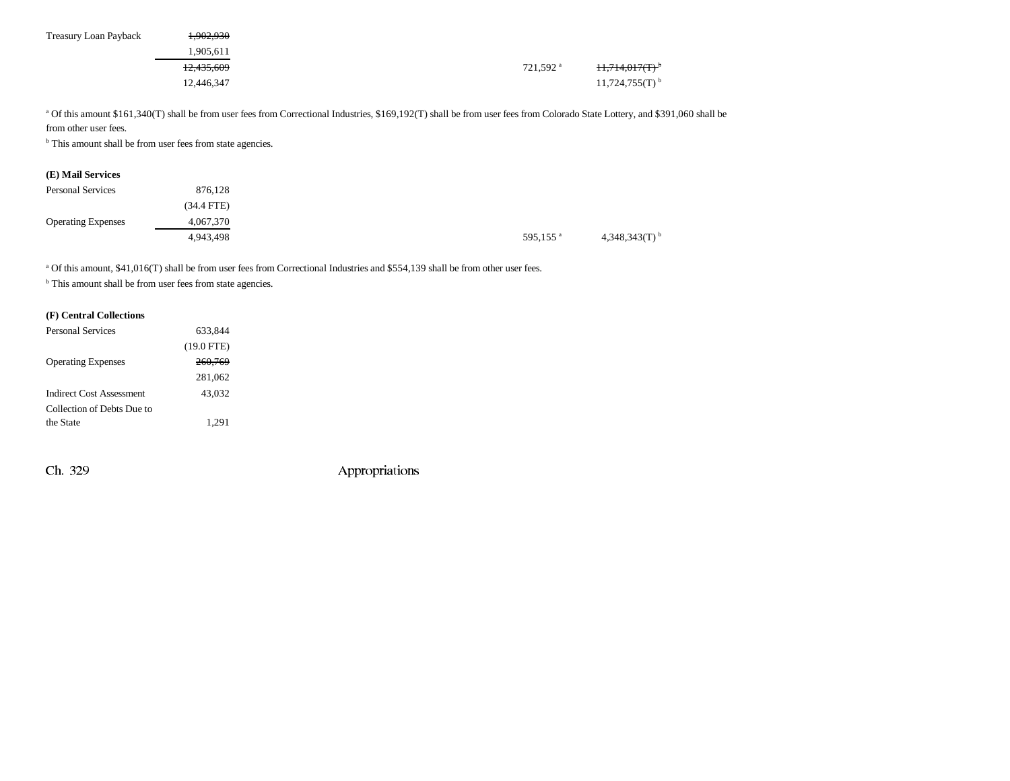| Treasury Loan Payback | 1.902.930             |  |                      |                              |
|-----------------------|-----------------------|--|----------------------|------------------------------|
|                       | 1.905.611             |  |                      |                              |
|                       | <del>12,435,609</del> |  | 721,592 <sup>a</sup> | 11,714,017(T)                |
|                       | 12,446,347            |  |                      | $11,724,755(T)$ <sup>b</sup> |

<sup>a</sup> Of this amount \$161,340(T) shall be from user fees from Correctional Industries, \$169,192(T) shall be from user fees from Colorado State Lottery, and \$391,060 shall be from other user fees.

<sup>b</sup> This amount shall be from user fees from state agencies.

|  | (E) Mail Services |
|--|-------------------|
|--|-------------------|

| <b>Personal Services</b>  | 876,128      |                      |                             |
|---------------------------|--------------|----------------------|-----------------------------|
|                           | $(34.4$ FTE) |                      |                             |
| <b>Operating Expenses</b> | 4,067,370    |                      |                             |
|                           | 4,943,498    | 595,155 <sup>a</sup> | $4,348,343(T)$ <sup>b</sup> |

<sup>a</sup> Of this amount, \$41,016(T) shall be from user fees from Correctional Industries and \$554,139 shall be from other user fees.

 $^{\rm b}$  This amount shall be from user fees from state agencies.

#### **(F) Central Collections**

| <b>Personal Services</b>   | 633.844      |  |
|----------------------------|--------------|--|
|                            | $(19.0$ FTE) |  |
| <b>Operating Expenses</b>  | 260.769      |  |
|                            | 281,062      |  |
| Indirect Cost Assessment   | 43.032       |  |
| Collection of Debts Due to |              |  |
| the State                  | 1.291        |  |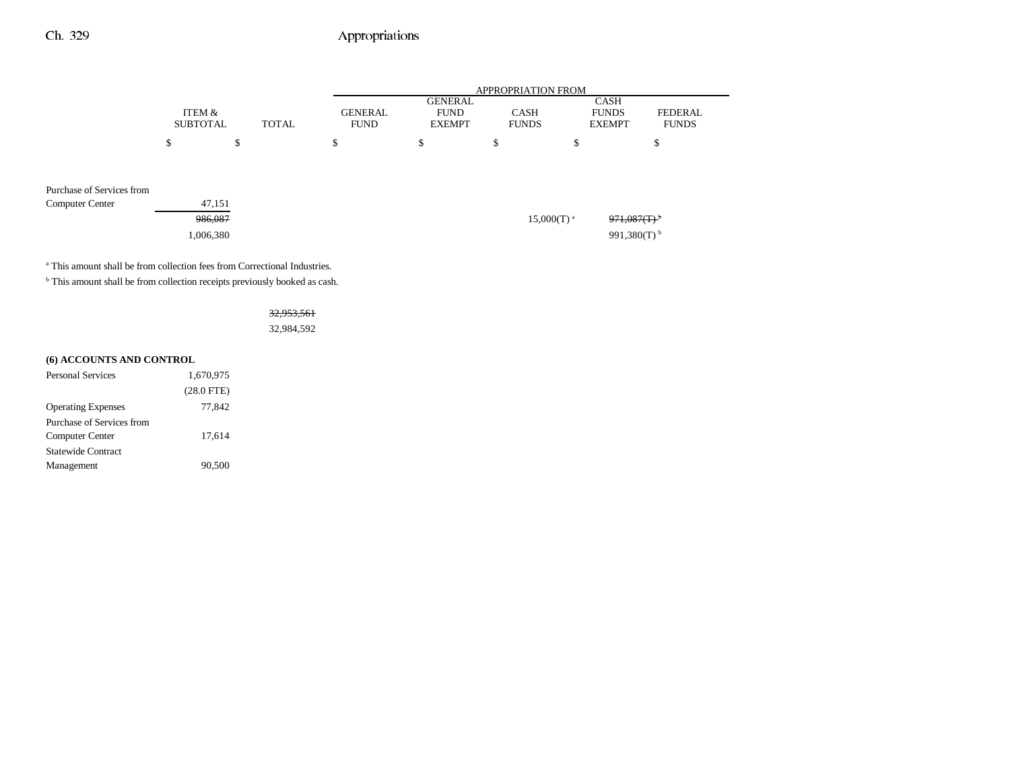|                           |                 |              |                | <b>APPROPRIATION FROM</b>     |                          |                           |                |  |
|---------------------------|-----------------|--------------|----------------|-------------------------------|--------------------------|---------------------------|----------------|--|
|                           | ITEM &          |              | <b>GENERAL</b> | <b>GENERAL</b><br><b>FUND</b> | <b>CASH</b>              | CASH<br><b>FUNDS</b>      | <b>FEDERAL</b> |  |
|                           | <b>SUBTOTAL</b> | <b>TOTAL</b> | <b>FUND</b>    | <b>EXEMPT</b>                 | <b>FUNDS</b>             | <b>EXEMPT</b>             | <b>FUNDS</b>   |  |
|                           | \$              | \$           | \$             | \$                            | \$                       | \$                        | \$             |  |
|                           |                 |              |                |                               |                          |                           |                |  |
| Purchase of Services from |                 |              |                |                               |                          |                           |                |  |
| <b>Computer Center</b>    | 47,151          |              |                |                               |                          |                           |                |  |
|                           | 986,087         |              |                |                               | $15,000(T)$ <sup>a</sup> | $971,087(T)$ <sup>b</sup> |                |  |
|                           | 1,006,380       |              |                |                               |                          | 991,380(T) $^{\rm b}$     |                |  |
|                           |                 |              |                |                               |                          |                           |                |  |

<sup>a</sup> This amount shall be from collection fees from Correctional Industries.

 $^{\rm b}$  This amount shall be from collection receipts previously booked as cash.

32,953,561 32,984,592

### **(6) ACCOUNTS AND CONTROL**

| <b>Personal Services</b>  | 1.670.975    |
|---------------------------|--------------|
|                           | $(28.0$ FTE) |
| <b>Operating Expenses</b> | 77.842       |
| Purchase of Services from |              |
| Computer Center           | 17,614       |
| Statewide Contract        |              |
| Management                | 90.500       |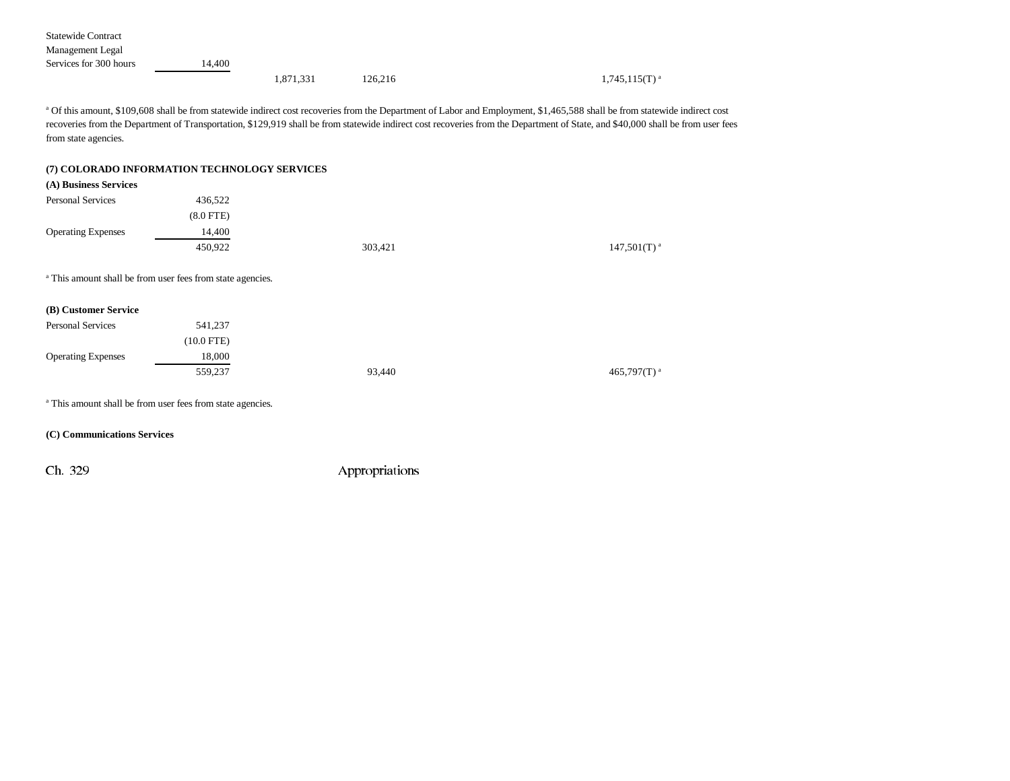| <b>Statewide Contract</b> |        |           |         |                    |
|---------------------------|--------|-----------|---------|--------------------|
| Management Legal          |        |           |         |                    |
| Services for 300 hours    | 14.400 |           |         |                    |
|                           |        | 1,871,331 | 126,216 | $1,745,115(T)^{a}$ |

a Of this amount, \$109,608 shall be from statewide indirect cost recoveries from the Department of Labor and Employment, \$1,465,588 shall be from statewide indirect cost recoveries from the Department of Transportation, \$129,919 shall be from statewide indirect cost recoveries from the Department of State, and \$40,000 shall be from user fees from state agencies.

#### **(7) COLORADO INFORMATION TECHNOLOGY SERVICES**

| (A) Business Services     |                                                                       |         |                            |
|---------------------------|-----------------------------------------------------------------------|---------|----------------------------|
| <b>Personal Services</b>  | 436,522                                                               |         |                            |
|                           | $(8.0$ FTE)                                                           |         |                            |
| <b>Operating Expenses</b> | 14,400                                                                |         |                            |
|                           | 450,922                                                               | 303,421 | $147,501(T)$ <sup>a</sup>  |
|                           | <sup>a</sup> This amount shall be from user fees from state agencies. |         |                            |
| (B) Customer Service      |                                                                       |         |                            |
| <b>Personal Services</b>  | 541,237                                                               |         |                            |
|                           | $(10.0$ FTE)                                                          |         |                            |
| <b>Operating Expenses</b> | 18,000                                                                |         |                            |
|                           |                                                                       |         |                            |
|                           | 559,237                                                               | 93,440  | 465,797 $(T)$ <sup>a</sup> |
|                           | <sup>a</sup> This amount shall be from user fees from state agencies. |         |                            |

#### **(C) Communications Services**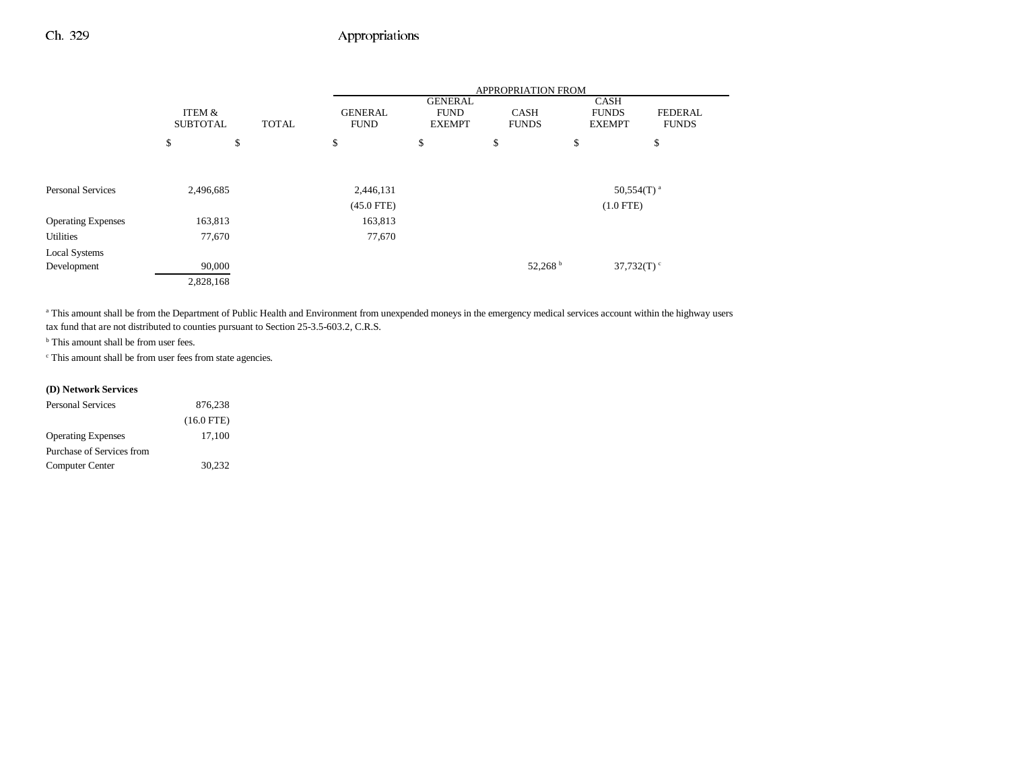|                           |                           |           |              |                               |                                                | APPROPRIATION FROM          |                                              |                                |
|---------------------------|---------------------------|-----------|--------------|-------------------------------|------------------------------------------------|-----------------------------|----------------------------------------------|--------------------------------|
|                           | ITEM &<br><b>SUBTOTAL</b> |           | <b>TOTAL</b> | <b>GENERAL</b><br><b>FUND</b> | <b>GENERAL</b><br><b>FUND</b><br><b>EXEMPT</b> | <b>CASH</b><br><b>FUNDS</b> | <b>CASH</b><br><b>FUNDS</b><br><b>EXEMPT</b> | <b>FEDERAL</b><br><b>FUNDS</b> |
|                           | \$                        | \$        |              | \$                            | \$                                             | \$                          | \$                                           | \$                             |
|                           |                           |           |              |                               |                                                |                             |                                              |                                |
| <b>Personal Services</b>  |                           | 2,496,685 |              | 2,446,131                     |                                                |                             |                                              | $50,554(T)^{a}$                |
|                           |                           |           |              | $(45.0$ FTE)                  |                                                |                             | $(1.0$ FTE)                                  |                                |
| <b>Operating Expenses</b> |                           | 163,813   |              | 163,813                       |                                                |                             |                                              |                                |
| <b>Utilities</b>          |                           | 77,670    |              | 77,670                        |                                                |                             |                                              |                                |
| Local Systems             |                           |           |              |                               |                                                |                             |                                              |                                |
| Development               |                           | 90,000    |              |                               |                                                | 52,268                      |                                              | 37,732(T)                      |
|                           |                           | 2,828,168 |              |                               |                                                |                             |                                              |                                |

<sup>a</sup> This amount shall be from the Department of Public Health and Environment from unexpended moneys in the emergency medical services account within the highway users tax fund that are not distributed to counties pursuant to Section 25-3.5-603.2, C.R.S.

<sup>b</sup> This amount shall be from user fees.

c This amount shall be from user fees from state agencies.

## **(D) Network Services**

| Personal Services         | 876.238      |
|---------------------------|--------------|
|                           | $(16.0$ FTE) |
| <b>Operating Expenses</b> | 17.100       |
| Purchase of Services from |              |
| Computer Center           | 30,232       |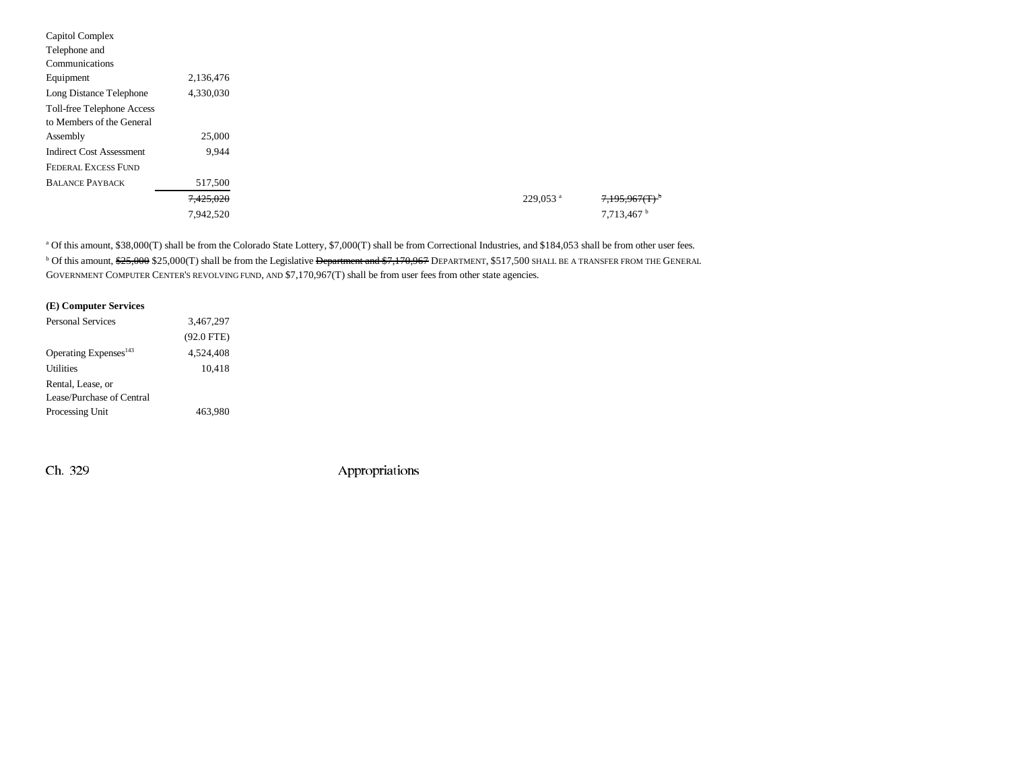| Capitol Complex                 |           |
|---------------------------------|-----------|
| Telephone and                   |           |
| Communications                  |           |
| Equipment                       | 2,136,476 |
| Long Distance Telephone         | 4,330,030 |
| Toll-free Telephone Access      |           |
| to Members of the General       |           |
| Assembly                        | 25,000    |
| <b>Indirect Cost Assessment</b> | 9,944     |
| <b>FEDERAL EXCESS FUND</b>      |           |
| <b>BALANCE PAYBACK</b>          | 517,500   |
|                                 | 7,425,020 |
|                                 | 7,942,520 |
|                                 |           |

a Of this amount, \$38,000(T) shall be from the Colorado State Lottery, \$7,000(T) shall be from Correctional Industries, and \$184,053 shall be from other user fees. <sup>b</sup> Of this amount, \$<del>25,000</del> \$25,000(T) shall be from the Legislative <del>Department and \$7,170,967</del> DEPARTMENT, \$517,500 SHALL BE A TRANSFER FROM THE GENERAL GOVERNMENT COMPUTER CENTER'S REVOLVING FUND, AND \$7,170,967(T) shall be from user fees from other state agencies.

|  | (E) Computer Services |  |
|--|-----------------------|--|
|--|-----------------------|--|

| $(92.0$ FTE) |           |
|--------------|-----------|
| 4.524.408    |           |
| 10.418       |           |
|              |           |
|              |           |
| 463.980      |           |
|              | 3,467,297 |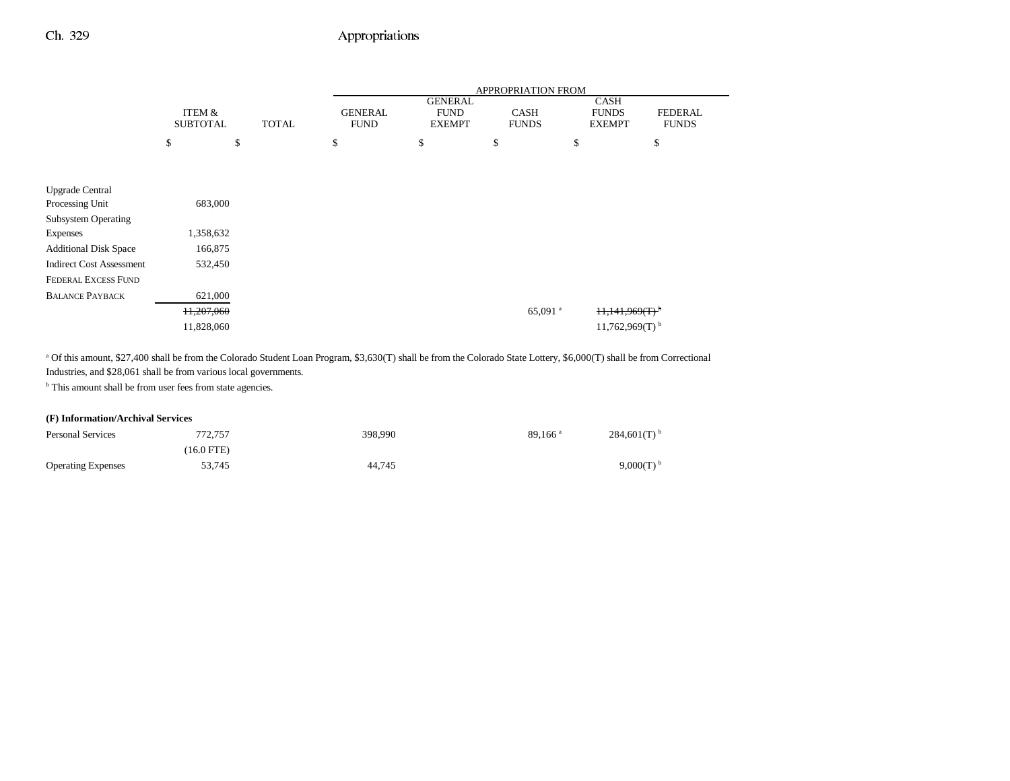|                                 |                 |              |                |                               | APPROPRIATION FROM    |                              |                |
|---------------------------------|-----------------|--------------|----------------|-------------------------------|-----------------------|------------------------------|----------------|
|                                 | ITEM &          |              | <b>GENERAL</b> | <b>GENERAL</b><br><b>FUND</b> | <b>CASH</b>           | CASH<br><b>FUNDS</b>         | <b>FEDERAL</b> |
|                                 | <b>SUBTOTAL</b> | <b>TOTAL</b> | <b>FUND</b>    | <b>EXEMPT</b>                 | <b>FUNDS</b>          | <b>EXEMPT</b>                | <b>FUNDS</b>   |
|                                 | \$              | \$           | \$             | \$                            | \$                    | \$<br>\$                     |                |
|                                 |                 |              |                |                               |                       |                              |                |
|                                 |                 |              |                |                               |                       |                              |                |
| <b>Upgrade Central</b>          |                 |              |                |                               |                       |                              |                |
| Processing Unit                 | 683,000         |              |                |                               |                       |                              |                |
| <b>Subsystem Operating</b>      |                 |              |                |                               |                       |                              |                |
| <b>Expenses</b>                 | 1,358,632       |              |                |                               |                       |                              |                |
| <b>Additional Disk Space</b>    | 166,875         |              |                |                               |                       |                              |                |
| <b>Indirect Cost Assessment</b> | 532,450         |              |                |                               |                       |                              |                |
| <b>FEDERAL EXCESS FUND</b>      |                 |              |                |                               |                       |                              |                |
| <b>BALANCE PAYBACK</b>          | 621,000         |              |                |                               |                       |                              |                |
|                                 | 11,207,060      |              |                |                               | $65,091$ <sup>a</sup> | $11,141,969(T)$ <sup>b</sup> |                |
|                                 | 11,828,060      |              |                |                               |                       | $11,762,969(T)$ <sup>b</sup> |                |

<sup>a</sup> Of this amount, \$27,400 shall be from the Colorado Student Loan Program, \$3,630(T) shall be from the Colorado State Lottery, \$6,000(T) shall be from Correctional Industries, and \$28,061 shall be from various local governments.

<sup>b</sup> This amount shall be from user fees from state agencies.

### **(F) Information/Archival Services**

| <b>Personal Services</b>  | 772,757    | 398,990 | $89.166$ <sup>a</sup> | $284,601(T)$ <sup>b</sup> |
|---------------------------|------------|---------|-----------------------|---------------------------|
|                           | (16.0 FTE) |         |                       |                           |
| <b>Operating Expenses</b> | 53,745     | 44,745  |                       | 9,000(T)                  |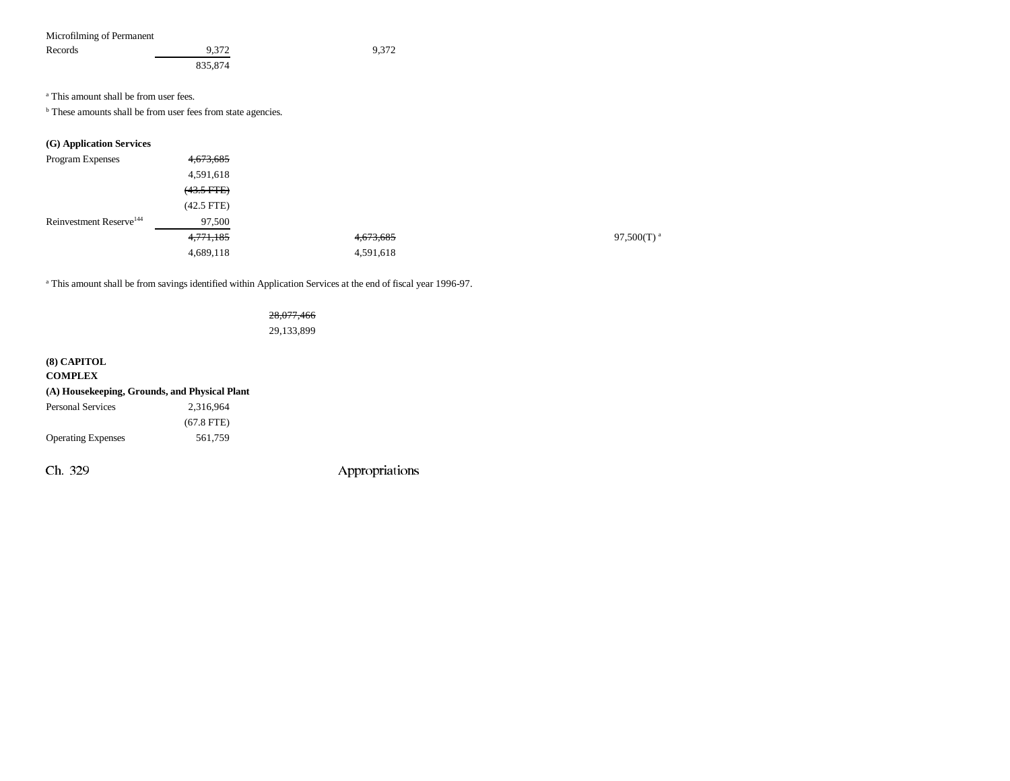| Microfilming of Permanent |         |       |
|---------------------------|---------|-------|
| Records                   | 9.372   | 9.372 |
|                           | 835,874 |       |

a This amount shall be from user fees.

**b** These amounts shall be from user fees from state agencies.

## **(G) Application Services**

| Program Expenses                    | 4,673,685       |           |                      |
|-------------------------------------|-----------------|-----------|----------------------|
|                                     | 4,591,618       |           |                      |
|                                     | $(43.5$ FTE $)$ |           |                      |
|                                     | $(42.5$ FTE)    |           |                      |
| Reinvestment Reserve <sup>144</sup> | 97,500          |           |                      |
|                                     | 4,771,185       | 4,673,685 | 97,500(T) $^{\rm a}$ |
|                                     | 4,689,118       | 4,591,618 |                      |

a This amount shall be from savings identified within Application Services at the end of fiscal year 1996-97.

### 28,077,466

29,133,899

| $(8)$ CAPITOL             |                                               |
|---------------------------|-----------------------------------------------|
| <b>COMPLEX</b>            |                                               |
|                           | (A) Housekeeping, Grounds, and Physical Plant |
| <b>Personal Services</b>  | 2.316.964                                     |
|                           | $(67.8$ FTE)                                  |
| <b>Operating Expenses</b> | 561.759                                       |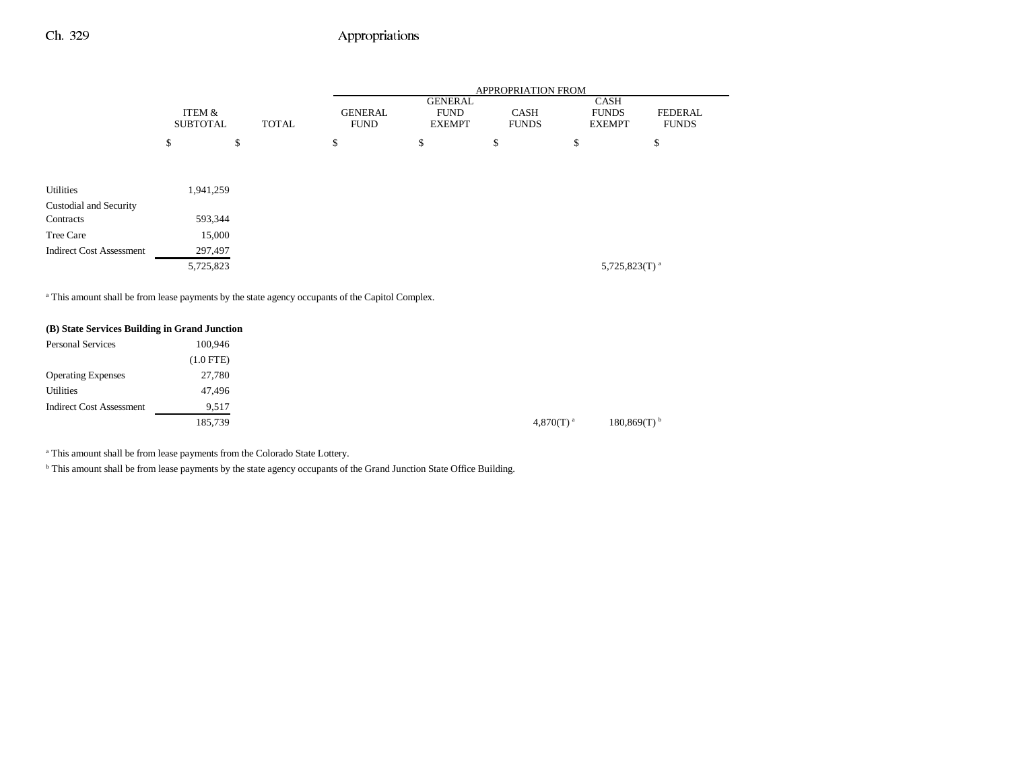|                                 |                           |              |                               |                                                | <b>APPROPRIATION FROM</b>   |                                              |                                |
|---------------------------------|---------------------------|--------------|-------------------------------|------------------------------------------------|-----------------------------|----------------------------------------------|--------------------------------|
|                                 | ITEM &<br><b>SUBTOTAL</b> | <b>TOTAL</b> | <b>GENERAL</b><br><b>FUND</b> | <b>GENERAL</b><br><b>FUND</b><br><b>EXEMPT</b> | <b>CASH</b><br><b>FUNDS</b> | <b>CASH</b><br><b>FUNDS</b><br><b>EXEMPT</b> | <b>FEDERAL</b><br><b>FUNDS</b> |
|                                 | \$                        | \$           | \$                            | \$                                             | \$                          | \$                                           | \$                             |
| <b>Utilities</b>                | 1,941,259                 |              |                               |                                                |                             |                                              |                                |
| Custodial and Security          |                           |              |                               |                                                |                             |                                              |                                |
| Contracts                       | 593,344                   |              |                               |                                                |                             |                                              |                                |
| Tree Care                       | 15,000                    |              |                               |                                                |                             |                                              |                                |
| <b>Indirect Cost Assessment</b> | 297,497                   |              |                               |                                                |                             |                                              |                                |
|                                 | 5,725,823                 |              |                               |                                                |                             | 5,725,823(T) <sup>a</sup>                    |                                |

<sup>a</sup> This amount shall be from lease payments by the state agency occupants of the Capitol Complex.

| (B) State Services Building in Grand Junction |             |
|-----------------------------------------------|-------------|
| <b>Personal Services</b>                      | 100.946     |
|                                               | $(1.0$ FTE) |
| <b>Operating Expenses</b>                     | 27,780      |
| <b>Utilities</b>                              | 47,496      |
| <b>Indirect Cost Assessment</b>               | 9,517       |
|                                               | 185,739     |

<sup>a</sup> This amount shall be from lease payments from the Colorado State Lottery.

b This amount shall be from lease payments by the state agency occupants of the Grand Junction State Office Building.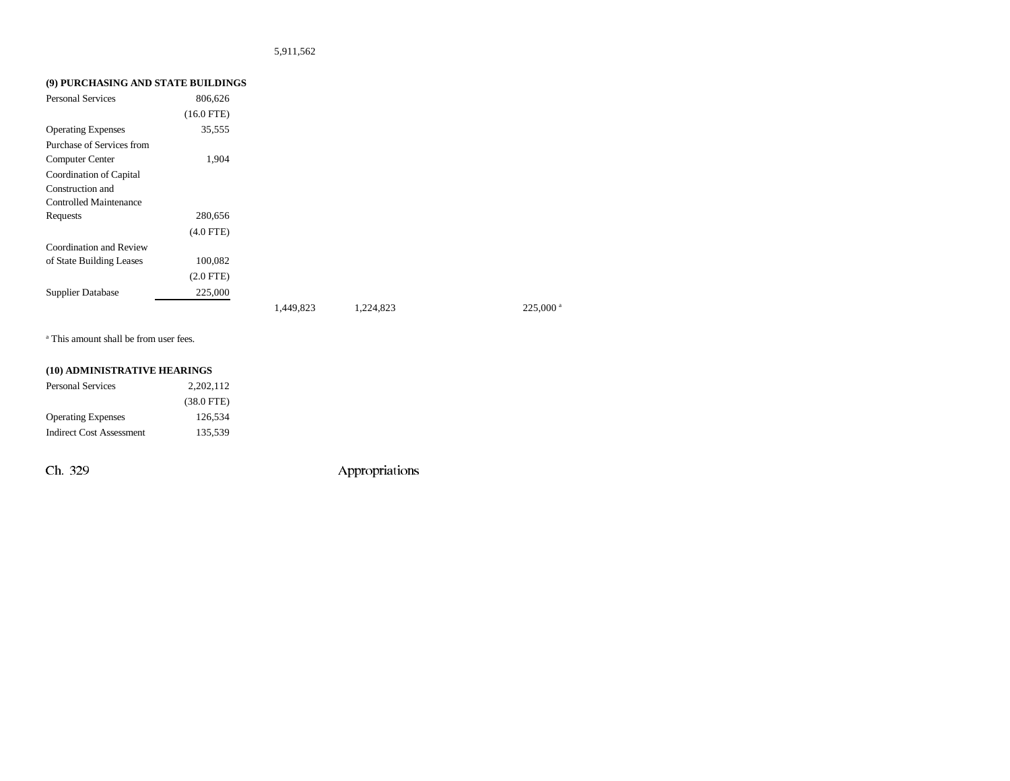### 5,911,562

## **(9) PURCHASING AND STATE BUILDINGS**

| <b>Personal Services</b>      | 806,626        |           |           |                       |
|-------------------------------|----------------|-----------|-----------|-----------------------|
|                               | $(16.0$ FTE)   |           |           |                       |
| <b>Operating Expenses</b>     | 35,555         |           |           |                       |
| Purchase of Services from     |                |           |           |                       |
| <b>Computer Center</b>        | 1,904          |           |           |                       |
| Coordination of Capital       |                |           |           |                       |
| Construction and              |                |           |           |                       |
| <b>Controlled Maintenance</b> |                |           |           |                       |
| Requests                      | 280,656        |           |           |                       |
|                               | $(4.0$ FTE)    |           |           |                       |
| Coordination and Review       |                |           |           |                       |
| of State Building Leases      | 100,082        |           |           |                       |
|                               | $(2.0$ FTE $)$ |           |           |                       |
| <b>Supplier Database</b>      | 225,000        |           |           |                       |
|                               |                | 1,449,823 | 1,224,823 | $225,000^{\text{ a}}$ |

a This amount shall be from user fees.

### **(10) ADMINISTRATIVE HEARINGS**

| Personal Services         | 2.202.112    |
|---------------------------|--------------|
|                           | $(38.0$ FTE) |
| <b>Operating Expenses</b> | 126.534      |
| Indirect Cost Assessment  | 135.539      |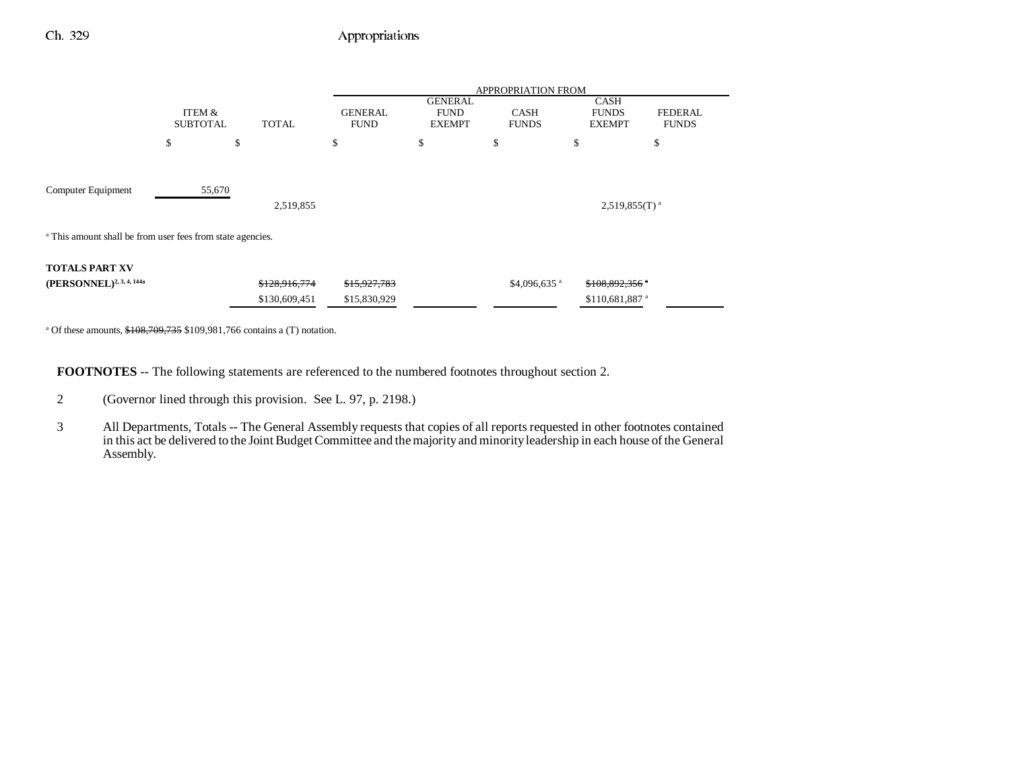|                                                                       |                                           |               |                               | <b>APPROPRIATION FROM</b>                      |                             |                                              |                                |  |
|-----------------------------------------------------------------------|-------------------------------------------|---------------|-------------------------------|------------------------------------------------|-----------------------------|----------------------------------------------|--------------------------------|--|
|                                                                       | ITEM &<br><b>SUBTOTAL</b>                 | <b>TOTAL</b>  | <b>GENERAL</b><br><b>FUND</b> | <b>GENERAL</b><br><b>FUND</b><br><b>EXEMPT</b> | <b>CASH</b><br><b>FUNDS</b> | <b>CASH</b><br><b>FUNDS</b><br><b>EXEMPT</b> | <b>FEDERAL</b><br><b>FUNDS</b> |  |
|                                                                       | \$                                        | \$            | \$                            | \$                                             | \$                          | \$                                           | \$                             |  |
| Computer Equipment                                                    | 55,670<br>2,519,855<br>$2,519,855(T)^{a}$ |               |                               |                                                |                             |                                              |                                |  |
| <sup>a</sup> This amount shall be from user fees from state agencies. |                                           |               |                               |                                                |                             |                                              |                                |  |
| <b>TOTALS PART XV</b>                                                 |                                           |               |                               |                                                |                             |                                              |                                |  |
| (PERSONNEL) <sup>2, 3, 4, 144a</sup>                                  |                                           | \$128,916,774 | \$15,927,783                  |                                                | \$4,096,635 $a$             | \$108,892,356 °                              |                                |  |
|                                                                       |                                           | \$130,609,451 | \$15,830,929                  |                                                |                             | \$110,681,887 <sup>a</sup>                   |                                |  |

<sup>a</sup> Of these amounts,  $$108,709,735$  \$109,981,766 contains a (T) notation.

**FOOTNOTES** -- The following statements are referenced to the numbered footnotes throughout section 2.

- 2 (Governor lined through this provision. See L. 97, p. 2198.)
- 3 All Departments, Totals -- The General Assembly requests that copies of all reports requested in other footnotes contained in this act be delivered to the Joint Budget Committee and the majority and minority leadership in each house of the General Assembly.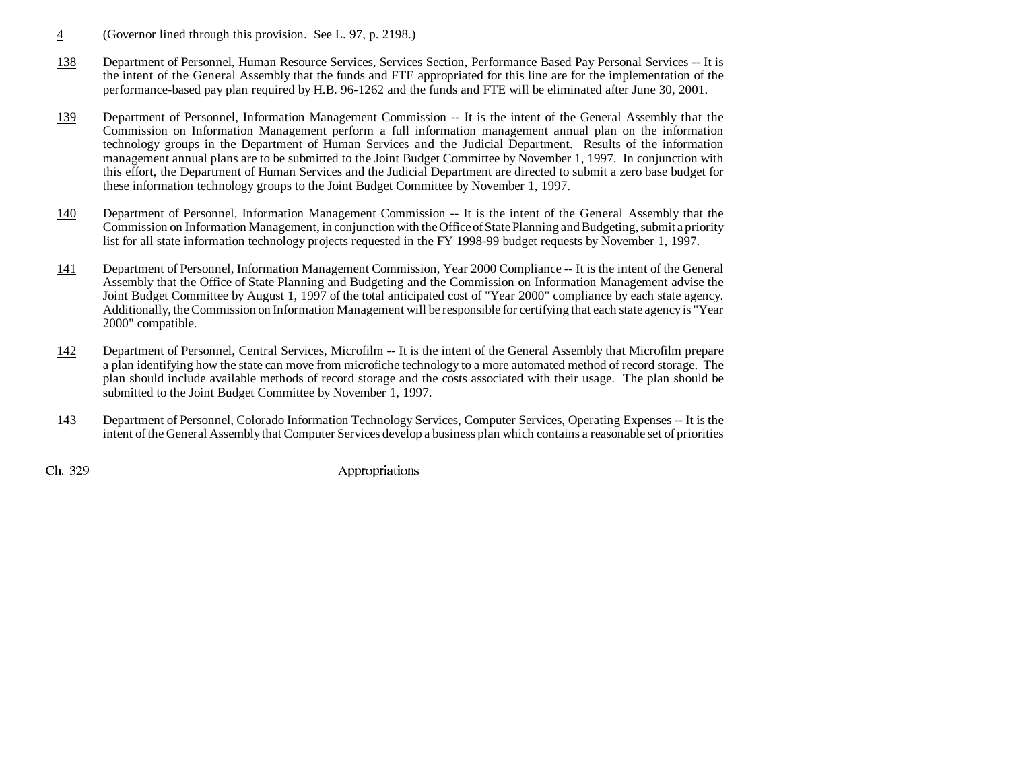- 4(Governor lined through this provision. See L. 97, p. 2198.)
- 138 Department of Personnel, Human Resource Services, Services Section, Performance Based Pay Personal Services -- It is the intent of the General Assembly that the funds and FTE appropriated for this line are for the implementation of the performance-based pay plan required by H.B. 96-1262 and the funds and FTE will be eliminated after June 30, 2001.
- 139 Department of Personnel, Information Management Commission -- It is the intent of the General Assembly that the Commission on Information Management perform a full information management annual plan on the information technology groups in the Department of Human Services and the Judicial Department. Results of the information management annual plans are to be submitted to the Joint Budget Committee by November 1, 1997. In conjunction with this effort, the Department of Human Services and the Judicial Department are directed to submit a zero base budget for these information technology groups to the Joint Budget Committee by November 1, 1997.
- 140 Department of Personnel, Information Management Commission -- It is the intent of the General Assembly that the Commission on Information Management, in conjunction with the Office of State Planning and Budgeting, submit a priority list for all state information technology projects requested in the FY 1998-99 budget requests by November 1, 1997.
- 141 Department of Personnel, Information Management Commission, Year 2000 Compliance -- It is the intent of the General Assembly that the Office of State Planning and Budgeting and the Commission on Information Management advise the Joint Budget Committee by August 1, 1997 of the total anticipated cost of "Year 2000" compliance by each state agency. Additionally, the Commission on Information Management will be responsible for certifying that each state agency is "Year 2000" compatible.
- 142 Department of Personnel, Central Services, Microfilm -- It is the intent of the General Assembly that Microfilm prepare a plan identifying how the state can move from microfiche technology to a more automated method of record storage. The plan should include available methods of record storage and the costs associated with their usage. The plan should be submitted to the Joint Budget Committee by November 1, 1997.
- 143 Department of Personnel, Colorado Information Technology Services, Computer Services, Operating Expenses -- It is the intent of the General Assembly that Computer Services develop a business plan which contains a reasonable set of priorities